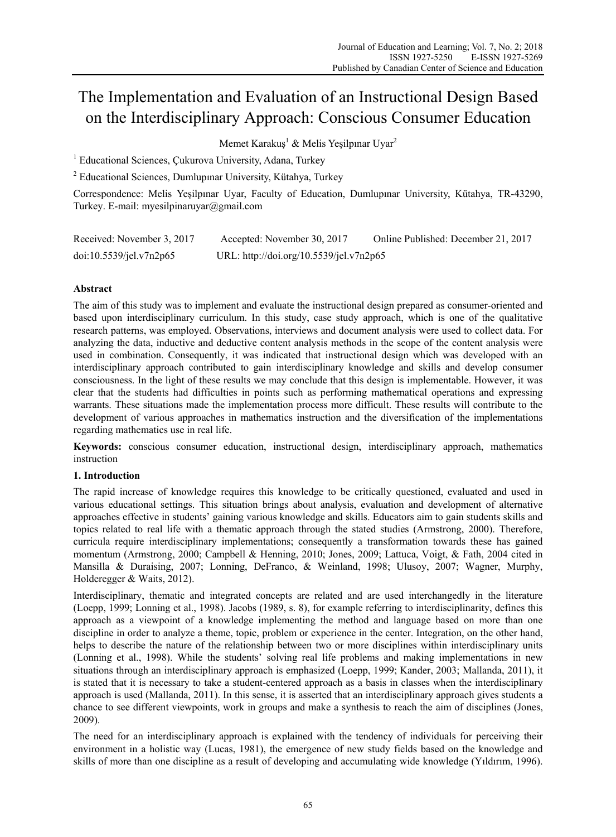# The Implementation and Evaluation of an Instructional Design Based on the Interdisciplinary Approach: Conscious Consumer Education

Memet Karakuş<sup>1</sup> & Melis Yeşilpınar Uyar<sup>2</sup>

<sup>1</sup> Educational Sciences, Çukurova University, Adana, Turkey

<sup>2</sup> Educational Sciences, Dumlupınar University, Kütahya, Turkey

Correspondence: Melis Yeşilpınar Uyar, Faculty of Education, Dumlupınar University, Kütahya, TR-43290, Turkey. E-mail: myesilpinaruyar@gmail.com

| Received: November 3, 2017 | Accepted: November 30, 2017             | Online Published: December 21, 2017 |
|----------------------------|-----------------------------------------|-------------------------------------|
| doi:10.5539/jet.v7n2p65    | URL: http://doi.org/10.5539/jel.v7n2p65 |                                     |

# **Abstract**

The aim of this study was to implement and evaluate the instructional design prepared as consumer-oriented and based upon interdisciplinary curriculum. In this study, case study approach, which is one of the qualitative research patterns, was employed. Observations, interviews and document analysis were used to collect data. For analyzing the data, inductive and deductive content analysis methods in the scope of the content analysis were used in combination. Consequently, it was indicated that instructional design which was developed with an interdisciplinary approach contributed to gain interdisciplinary knowledge and skills and develop consumer consciousness. In the light of these results we may conclude that this design is implementable. However, it was clear that the students had difficulties in points such as performing mathematical operations and expressing warrants. These situations made the implementation process more difficult. These results will contribute to the development of various approaches in mathematics instruction and the diversification of the implementations regarding mathematics use in real life.

**Keywords:** conscious consumer education, instructional design, interdisciplinary approach, mathematics instruction

# **1. Introduction**

The rapid increase of knowledge requires this knowledge to be critically questioned, evaluated and used in various educational settings. This situation brings about analysis, evaluation and development of alternative approaches effective in students' gaining various knowledge and skills. Educators aim to gain students skills and topics related to real life with a thematic approach through the stated studies (Armstrong, 2000). Therefore, curricula require interdisciplinary implementations; consequently a transformation towards these has gained momentum (Armstrong, 2000; Campbell & Henning, 2010; Jones, 2009; Lattuca, Voigt, & Fath, 2004 cited in Mansilla & Duraising, 2007; Lonning, DeFranco, & Weinland, 1998; Ulusoy, 2007; Wagner, Murphy, Holderegger & Waits, 2012).

Interdisciplinary, thematic and integrated concepts are related and are used interchangedly in the literature (Loepp, 1999; Lonning et al., 1998). Jacobs (1989, s. 8), for example referring to interdisciplinarity, defines this approach as a viewpoint of a knowledge implementing the method and language based on more than one discipline in order to analyze a theme, topic, problem or experience in the center. Integration, on the other hand, helps to describe the nature of the relationship between two or more disciplines within interdisciplinary units (Lonning et al., 1998). While the students' solving real life problems and making implementations in new situations through an interdisciplinary approach is emphasized (Loepp, 1999; Kander, 2003; Mallanda, 2011), it is stated that it is necessary to take a student-centered approach as a basis in classes when the interdisciplinary approach is used (Mallanda, 2011). In this sense, it is asserted that an interdisciplinary approach gives students a chance to see different viewpoints, work in groups and make a synthesis to reach the aim of disciplines (Jones, 2009).

The need for an interdisciplinary approach is explained with the tendency of individuals for perceiving their environment in a holistic way (Lucas, 1981), the emergence of new study fields based on the knowledge and skills of more than one discipline as a result of developing and accumulating wide knowledge (Yıldırım, 1996).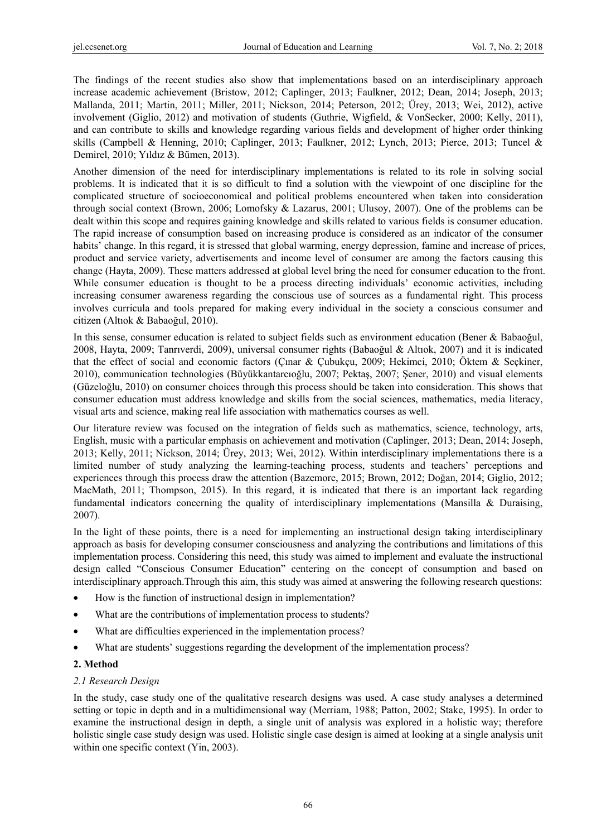The findings of the recent studies also show that implementations based on an interdisciplinary approach increase academic achievement (Bristow, 2012; Caplinger, 2013; Faulkner, 2012; Dean, 2014; Joseph, 2013; Mallanda, 2011; Martin, 2011; Miller, 2011; Nickson, 2014; Peterson, 2012; Ürey, 2013; Wei, 2012), active involvement (Giglio, 2012) and motivation of students (Guthrie, Wigfield, & VonSecker, 2000; Kelly, 2011), and can contribute to skills and knowledge regarding various fields and development of higher order thinking skills (Campbell & Henning, 2010; Caplinger, 2013; Faulkner, 2012; Lynch, 2013; Pierce, 2013; Tuncel & Demirel, 2010; Yıldız & Bümen, 2013).

Another dimension of the need for interdisciplinary implementations is related to its role in solving social problems. It is indicated that it is so difficult to find a solution with the viewpoint of one discipline for the complicated structure of socioeconomical and political problems encountered when taken into consideration through social context (Brown, 2006; Lomofsky & Lazarus, 2001; Ulusoy, 2007). One of the problems can be dealt within this scope and requires gaining knowledge and skills related to various fields is consumer education. The rapid increase of consumption based on increasing produce is considered as an indicator of the consumer habits' change. In this regard, it is stressed that global warming, energy depression, famine and increase of prices, product and service variety, advertisements and income level of consumer are among the factors causing this change (Hayta, 2009). These matters addressed at global level bring the need for consumer education to the front. While consumer education is thought to be a process directing individuals' economic activities, including increasing consumer awareness regarding the conscious use of sources as a fundamental right. This process involves curricula and tools prepared for making every individual in the society a conscious consumer and citizen (Altıok & Babaoğul, 2010).

In this sense, consumer education is related to subject fields such as environment education (Bener & Babaoğul, 2008, Hayta, 2009; Tanrıverdi, 2009), universal consumer rights (Babaoğul & Altıok, 2007) and it is indicated that the effect of social and economic factors (Çınar & Çubukçu, 2009; Hekimci, 2010; Öktem & Seçkiner, 2010), communication technologies (Büyükkantarcıoğlu, 2007; Pektaş, 2007; Şener, 2010) and visual elements (Güzeloğlu, 2010) on consumer choices through this process should be taken into consideration. This shows that consumer education must address knowledge and skills from the social sciences, mathematics, media literacy, visual arts and science, making real life association with mathematics courses as well.

Our literature review was focused on the integration of fields such as mathematics, science, technology, arts, English, music with a particular emphasis on achievement and motivation (Caplinger, 2013; Dean, 2014; Joseph, 2013; Kelly, 2011; Nickson, 2014; Ürey, 2013; Wei, 2012). Within interdisciplinary implementations there is a limited number of study analyzing the learning-teaching process, students and teachers' perceptions and experiences through this process draw the attention (Bazemore, 2015; Brown, 2012; Doğan, 2014; Giglio, 2012; MacMath, 2011; Thompson, 2015). In this regard, it is indicated that there is an important lack regarding fundamental indicators concerning the quality of interdisciplinary implementations (Mansilla & Duraising, 2007).

In the light of these points, there is a need for implementing an instructional design taking interdisciplinary approach as basis for developing consumer consciousness and analyzing the contributions and limitations of this implementation process. Considering this need, this study was aimed to implement and evaluate the instructional design called "Conscious Consumer Education" centering on the concept of consumption and based on interdisciplinary approach.Through this aim, this study was aimed at answering the following research questions:

- How is the function of instructional design in implementation?
- What are the contributions of implementation process to students?
- What are difficulties experienced in the implementation process?
- What are students' suggestions regarding the development of the implementation process?

### **2. Method**

### *2.1 Research Design*

In the study, case study one of the qualitative research designs was used. A case study analyses a determined setting or topic in depth and in a multidimensional way (Merriam, 1988; Patton, 2002; Stake, 1995). In order to examine the instructional design in depth, a single unit of analysis was explored in a holistic way; therefore holistic single case study design was used. Holistic single case design is aimed at looking at a single analysis unit within one specific context (Yin, 2003).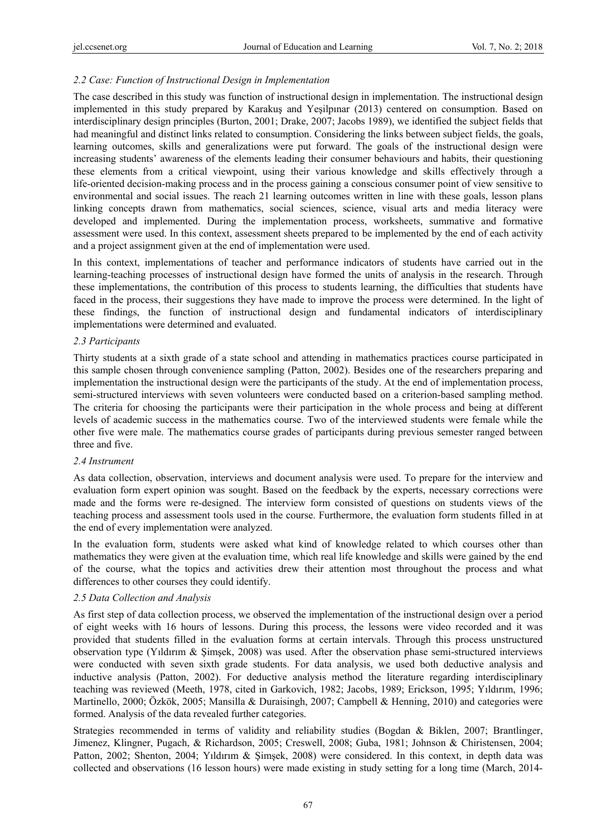# *2.2 Case: Function of Instructional Design in Implementation*

The case described in this study was function of instructional design in implementation. The instructional design implemented in this study prepared by Karakuş and Yeşilpınar (2013) centered on consumption. Based on interdisciplinary design principles (Burton, 2001; Drake, 2007; Jacobs 1989), we identified the subject fields that had meaningful and distinct links related to consumption. Considering the links between subject fields, the goals, learning outcomes, skills and generalizations were put forward. The goals of the instructional design were increasing students' awareness of the elements leading their consumer behaviours and habits, their questioning these elements from a critical viewpoint, using their various knowledge and skills effectively through a life-oriented decision-making process and in the process gaining a conscious consumer point of view sensitive to environmental and social issues. The reach 21 learning outcomes written in line with these goals, lesson plans linking concepts drawn from mathematics, social sciences, science, visual arts and media literacy were developed and implemented. During the implementation process, worksheets, summative and formative assessment were used. In this context, assessment sheets prepared to be implemented by the end of each activity and a project assignment given at the end of implementation were used.

In this context, implementations of teacher and performance indicators of students have carried out in the learning-teaching processes of instructional design have formed the units of analysis in the research. Through these implementations, the contribution of this process to students learning, the difficulties that students have faced in the process, their suggestions they have made to improve the process were determined. In the light of these findings, the function of instructional design and fundamental indicators of interdisciplinary implementations were determined and evaluated.

## *2.3 Participants*

Thirty students at a sixth grade of a state school and attending in mathematics practices course participated in this sample chosen through convenience sampling (Patton, 2002). Besides one of the researchers preparing and implementation the instructional design were the participants of the study. At the end of implementation process, semi-structured interviews with seven volunteers were conducted based on a criterion-based sampling method. The criteria for choosing the participants were their participation in the whole process and being at different levels of academic success in the mathematics course. Two of the interviewed students were female while the other five were male. The mathematics course grades of participants during previous semester ranged between three and five.

### *2.4 Instrument*

As data collection, observation, interviews and document analysis were used. To prepare for the interview and evaluation form expert opinion was sought. Based on the feedback by the experts, necessary corrections were made and the forms were re-designed. The interview form consisted of questions on students views of the teaching process and assessment tools used in the course. Furthermore, the evaluation form students filled in at the end of every implementation were analyzed.

In the evaluation form, students were asked what kind of knowledge related to which courses other than mathematics they were given at the evaluation time, which real life knowledge and skills were gained by the end of the course, what the topics and activities drew their attention most throughout the process and what differences to other courses they could identify.

# *2.5 Data Collection and Analysis*

As first step of data collection process, we observed the implementation of the instructional design over a period of eight weeks with 16 hours of lessons. During this process, the lessons were video recorded and it was provided that students filled in the evaluation forms at certain intervals. Through this process unstructured observation type (Yıldırım & Şimşek, 2008) was used. After the observation phase semi-structured interviews were conducted with seven sixth grade students. For data analysis, we used both deductive analysis and inductive analysis (Patton, 2002). For deductive analysis method the literature regarding interdisciplinary teaching was reviewed (Meeth, 1978, cited in Garkovich, 1982; Jacobs, 1989; Erickson, 1995; Yıldırım, 1996; Martinello, 2000; Özkök, 2005; Mansilla & Duraisingh, 2007; Campbell & Henning, 2010) and categories were formed. Analysis of the data revealed further categories.

Strategies recommended in terms of validity and reliability studies (Bogdan & Biklen, 2007; Brantlinger, Jimenez, Klingner, Pugach, & Richardson, 2005; Creswell, 2008; Guba, 1981; Johnson & Chiristensen, 2004; Patton, 2002; Shenton, 2004; Yıldırım & Şimşek, 2008) were considered. In this context, in depth data was collected and observations (16 lesson hours) were made existing in study setting for a long time (March, 2014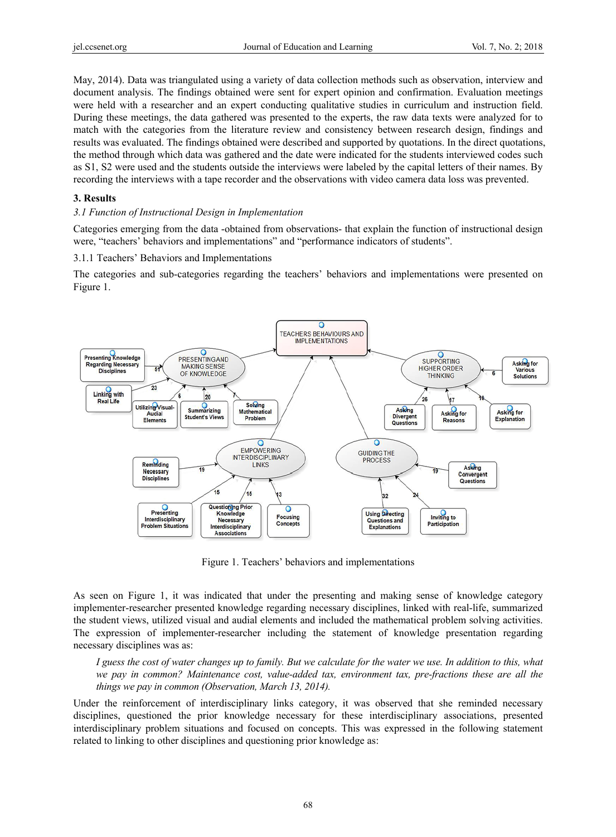May, 2014). Data was triangulated using a variety of data collection methods such as observation, interview and document analysis. The findings obtained were sent for expert opinion and confirmation. Evaluation meetings were held with a researcher and an expert conducting qualitative studies in curriculum and instruction field. During these meetings, the data gathered was presented to the experts, the raw data texts were analyzed for to match with the categories from the literature review and consistency between research design, findings and results was evaluated. The findings obtained were described and supported by quotations. In the direct quotations, the method through which data was gathered and the date were indicated for the students interviewed codes such as S1, S2 were used and the students outside the interviews were labeled by the capital letters of their names. By recording the interviews with a tape recorder and the observations with video camera data loss was prevented.

#### **3. Results**

#### *3.1 Function of Instructional Design in Implementation*

Categories emerging from the data -obtained from observations- that explain the function of instructional design were, "teachers' behaviors and implementations" and "performance indicators of students".

#### 3.1.1 Teachers' Behaviors and Implementations

The categories and sub-categories regarding the teachers' behaviors and implementations were presented on Figure 1.



Figure 1. Teachers' behaviors and implementations

As seen on Figure 1, it was indicated that under the presenting and making sense of knowledge category implementer-researcher presented knowledge regarding necessary disciplines, linked with real-life, summarized the student views, utilized visual and audial elements and included the mathematical problem solving activities. The expression of implementer-researcher including the statement of knowledge presentation regarding necessary disciplines was as:

*I guess the cost of water changes up to family. But we calculate for the water we use. In addition to this, what we pay in common? Maintenance cost, value-added tax, environment tax, pre-fractions these are all the things we pay in common (Observation, March 13, 2014).* 

Under the reinforcement of interdisciplinary links category, it was observed that she reminded necessary disciplines, questioned the prior knowledge necessary for these interdisciplinary associations, presented interdisciplinary problem situations and focused on concepts. This was expressed in the following statement related to linking to other disciplines and questioning prior knowledge as: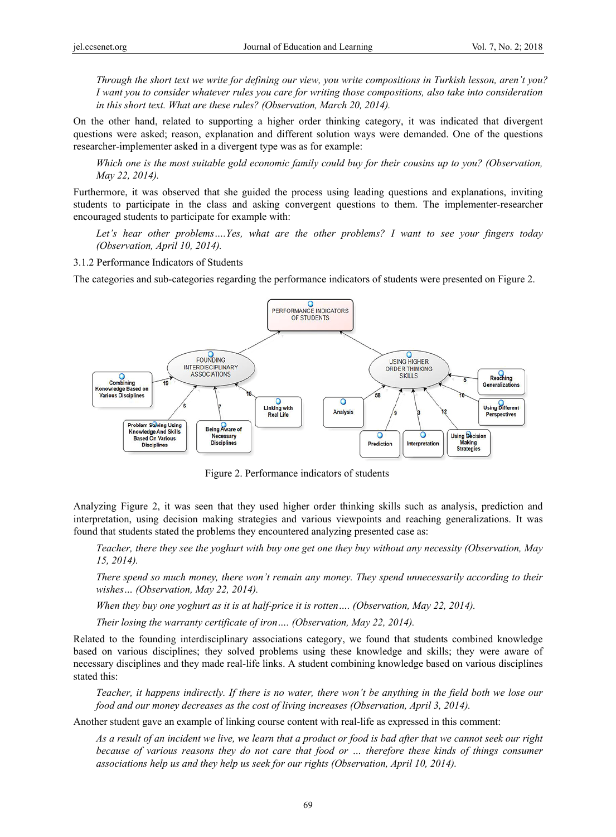*Through the short text we write for defining our view, you write compositions in Turkish lesson, aren't you? I want you to consider whatever rules you care for writing those compositions, also take into consideration in this short text. What are these rules? (Observation, March 20, 2014).* 

On the other hand, related to supporting a higher order thinking category, it was indicated that divergent questions were asked; reason, explanation and different solution ways were demanded. One of the questions researcher-implementer asked in a divergent type was as for example:

*Which one is the most suitable gold economic family could buy for their cousins up to you? (Observation, May 22, 2014).* 

Furthermore, it was observed that she guided the process using leading questions and explanations, inviting students to participate in the class and asking convergent questions to them. The implementer-researcher encouraged students to participate for example with:

*Let's hear other problems….Yes, what are the other problems? I want to see your fingers today (Observation, April 10, 2014).* 

3.1.2 Performance Indicators of Students

The categories and sub-categories regarding the performance indicators of students were presented on Figure 2.



Figure 2. Performance indicators of students

Analyzing Figure 2, it was seen that they used higher order thinking skills such as analysis, prediction and interpretation, using decision making strategies and various viewpoints and reaching generalizations. It was found that students stated the problems they encountered analyzing presented case as:

*Teacher, there they see the yoghurt with buy one get one they buy without any necessity (Observation, May 15, 2014).* 

*There spend so much money, there won't remain any money. They spend unnecessarily according to their wishes… (Observation, May 22, 2014).* 

*When they buy one yoghurt as it is at half-price it is rotten…. (Observation, May 22, 2014).* 

*Their losing the warranty certificate of iron…. (Observation, May 22, 2014).* 

Related to the founding interdisciplinary associations category, we found that students combined knowledge based on various disciplines; they solved problems using these knowledge and skills; they were aware of necessary disciplines and they made real-life links. A student combining knowledge based on various disciplines stated this:

*Teacher, it happens indirectly. If there is no water, there won't be anything in the field both we lose our food and our money decreases as the cost of living increases (Observation, April 3, 2014).* 

Another student gave an example of linking course content with real-life as expressed in this comment:

*As a result of an incident we live, we learn that a product or food is bad after that we cannot seek our right because of various reasons they do not care that food or ... therefore these kinds of things consumer associations help us and they help us seek for our rights (Observation, April 10, 2014).*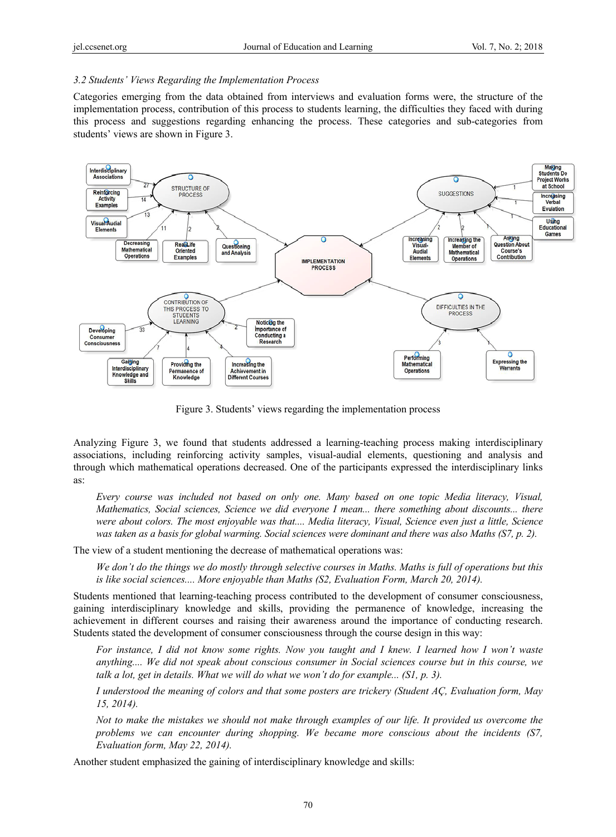#### *3.2 Students' Views Regarding the Implementation Process*

Categories emerging from the data obtained from interviews and evaluation forms were, the structure of the implementation process, contribution of this process to students learning, the difficulties they faced with during this process and suggestions regarding enhancing the process. These categories and sub-categories from students' views are shown in Figure 3.



Figure 3. Students' views regarding the implementation process

Analyzing Figure 3, we found that students addressed a learning-teaching process making interdisciplinary associations, including reinforcing activity samples, visual-audial elements, questioning and analysis and through which mathematical operations decreased. One of the participants expressed the interdisciplinary links as:

*Every course was included not based on only one. Many based on one topic Media literacy, Visual, Mathematics, Social sciences, Science we did everyone I mean... there something about discounts... there were about colors. The most enjoyable was that.... Media literacy, Visual, Science even just a little, Science*  was taken as a basis for global warming. Social sciences were dominant and there was also Maths (S7, p. 2).

The view of a student mentioning the decrease of mathematical operations was:

*We don't do the things we do mostly through selective courses in Maths. Maths is full of operations but this is like social sciences.... More enjoyable than Maths (S2, Evaluation Form, March 20, 2014).* 

Students mentioned that learning-teaching process contributed to the development of consumer consciousness, gaining interdisciplinary knowledge and skills, providing the permanence of knowledge, increasing the achievement in different courses and raising their awareness around the importance of conducting research. Students stated the development of consumer consciousness through the course design in this way:

*For instance, I did not know some rights. Now you taught and I knew. I learned how I won't waste anything.... We did not speak about conscious consumer in Social sciences course but in this course, we talk a lot, get in details. What we will do what we won't do for example... (S1, p. 3).* 

*I understood the meaning of colors and that some posters are trickery (Student AÇ, Evaluation form, May 15, 2014).* 

*Not to make the mistakes we should not make through examples of our life. It provided us overcome the problems we can encounter during shopping. We became more conscious about the incidents (S7, Evaluation form, May 22, 2014).* 

Another student emphasized the gaining of interdisciplinary knowledge and skills: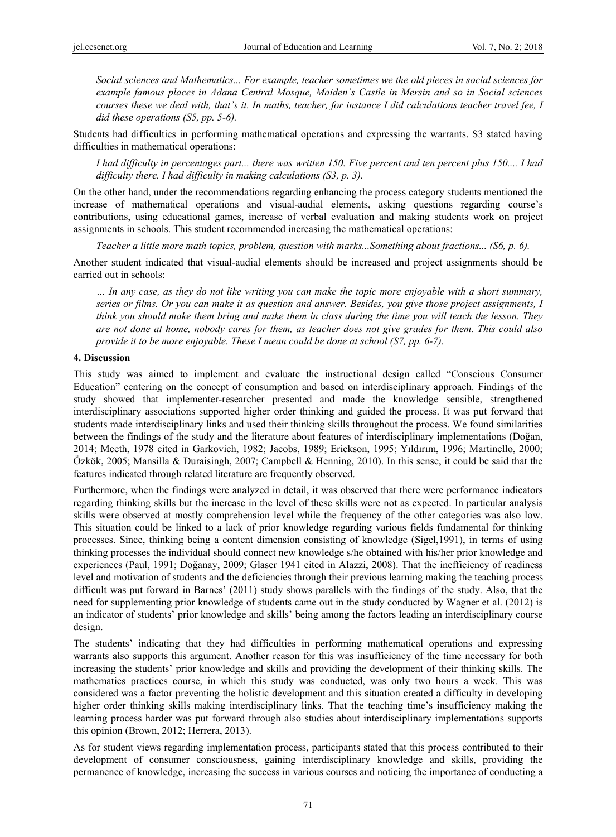*Social sciences and Mathematics... For example, teacher sometimes we the old pieces in social sciences for example famous places in Adana Central Mosque, Maiden's Castle in Mersin and so in Social sciences courses these we deal with, that's it. In maths, teacher, for instance I did calculations teacher travel fee, I did these operations (S5, pp. 5-6).* 

Students had difficulties in performing mathematical operations and expressing the warrants. S3 stated having difficulties in mathematical operations:

*I had difficulty in percentages part... there was written 150. Five percent and ten percent plus 150.... I had difficulty there. I had difficulty in making calculations (S3, p. 3).* 

On the other hand, under the recommendations regarding enhancing the process category students mentioned the increase of mathematical operations and visual-audial elements, asking questions regarding course's contributions, using educational games, increase of verbal evaluation and making students work on project assignments in schools. This student recommended increasing the mathematical operations:

*Teacher a little more math topics, problem, question with marks...Something about fractions... (S6, p. 6).* 

Another student indicated that visual-audial elements should be increased and project assignments should be carried out in schools:

*… In any case, as they do not like writing you can make the topic more enjoyable with a short summary, series or films. Or you can make it as question and answer. Besides, you give those project assignments, I think you should make them bring and make them in class during the time you will teach the lesson. They are not done at home, nobody cares for them, as teacher does not give grades for them. This could also provide it to be more enjoyable. These I mean could be done at school (S7, pp. 6-7).* 

#### **4. Discussion**

This study was aimed to implement and evaluate the instructional design called "Conscious Consumer Education" centering on the concept of consumption and based on interdisciplinary approach. Findings of the study showed that implementer-researcher presented and made the knowledge sensible, strengthened interdisciplinary associations supported higher order thinking and guided the process. It was put forward that students made interdisciplinary links and used their thinking skills throughout the process. We found similarities between the findings of the study and the literature about features of interdisciplinary implementations (Doğan, 2014; Meeth, 1978 cited in Garkovich, 1982; Jacobs, 1989; Erickson, 1995; Yıldırım, 1996; Martinello, 2000; Özkök, 2005; Mansilla & Duraisingh, 2007; Campbell & Henning, 2010). In this sense, it could be said that the features indicated through related literature are frequently observed.

Furthermore, when the findings were analyzed in detail, it was observed that there were performance indicators regarding thinking skills but the increase in the level of these skills were not as expected. In particular analysis skills were observed at mostly comprehension level while the frequency of the other categories was also low. This situation could be linked to a lack of prior knowledge regarding various fields fundamental for thinking processes. Since, thinking being a content dimension consisting of knowledge (Sigel,1991), in terms of using thinking processes the individual should connect new knowledge s/he obtained with his/her prior knowledge and experiences (Paul, 1991; Doğanay, 2009; Glaser 1941 cited in Alazzi, 2008). That the inefficiency of readiness level and motivation of students and the deficiencies through their previous learning making the teaching process difficult was put forward in Barnes' (2011) study shows parallels with the findings of the study. Also, that the need for supplementing prior knowledge of students came out in the study conducted by Wagner et al. (2012) is an indicator of students' prior knowledge and skills' being among the factors leading an interdisciplinary course design.

The students' indicating that they had difficulties in performing mathematical operations and expressing warrants also supports this argument. Another reason for this was insufficiency of the time necessary for both increasing the students' prior knowledge and skills and providing the development of their thinking skills. The mathematics practices course, in which this study was conducted, was only two hours a week. This was considered was a factor preventing the holistic development and this situation created a difficulty in developing higher order thinking skills making interdisciplinary links. That the teaching time's insufficiency making the learning process harder was put forward through also studies about interdisciplinary implementations supports this opinion (Brown, 2012; Herrera, 2013).

As for student views regarding implementation process, participants stated that this process contributed to their development of consumer consciousness, gaining interdisciplinary knowledge and skills, providing the permanence of knowledge, increasing the success in various courses and noticing the importance of conducting a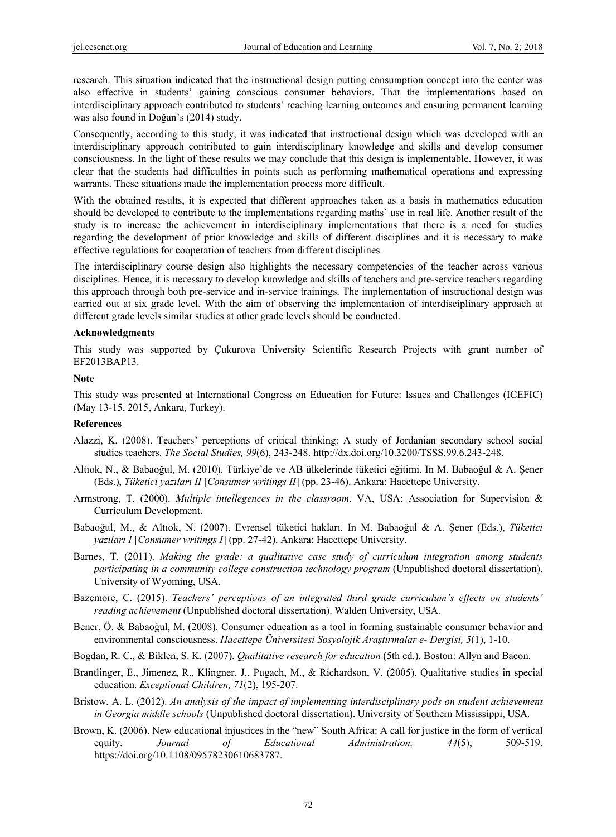research. This situation indicated that the instructional design putting consumption concept into the center was also effective in students' gaining conscious consumer behaviors. That the implementations based on interdisciplinary approach contributed to students' reaching learning outcomes and ensuring permanent learning was also found in Doğan's (2014) study.

Consequently, according to this study, it was indicated that instructional design which was developed with an interdisciplinary approach contributed to gain interdisciplinary knowledge and skills and develop consumer consciousness. In the light of these results we may conclude that this design is implementable. However, it was clear that the students had difficulties in points such as performing mathematical operations and expressing warrants. These situations made the implementation process more difficult.

With the obtained results, it is expected that different approaches taken as a basis in mathematics education should be developed to contribute to the implementations regarding maths' use in real life. Another result of the study is to increase the achievement in interdisciplinary implementations that there is a need for studies regarding the development of prior knowledge and skills of different disciplines and it is necessary to make effective regulations for cooperation of teachers from different disciplines.

The interdisciplinary course design also highlights the necessary competencies of the teacher across various disciplines. Hence, it is necessary to develop knowledge and skills of teachers and pre-service teachers regarding this approach through both pre-service and in-service trainings. The implementation of instructional design was carried out at six grade level. With the aim of observing the implementation of interdisciplinary approach at different grade levels similar studies at other grade levels should be conducted.

#### **Acknowledgments**

This study was supported by Çukurova University Scientific Research Projects with grant number of EF2013BAP13.

#### **Note**

This study was presented at International Congress on Education for Future: Issues and Challenges (ICEFIC) (May 13-15, 2015, Ankara, Turkey).

### **References**

- Alazzi, K. (2008). Teachers' perceptions of critical thinking: A study of Jordanian secondary school social studies teachers. *The Social Studies, 99*(6), 243-248. http://dx.doi.org/10.3200/TSSS.99.6.243-248.
- Altıok, N., & Babaoğul, M. (2010). Türkiye'de ve AB ülkelerinde tüketici eğitimi. In M. Babaoğul & A. Şener (Eds.), *Tüketici yazıları II* [*Consumer writings II*] (pp. 23-46). Ankara: Hacettepe University.
- Armstrong, T. (2000). *Multiple intellegences in the classroom*. VA, USA: Association for Supervision & Curriculum Development.
- Babaoğul, M., & Altıok, N. (2007). Evrensel tüketici hakları. In M. Babaoğul & A. Şener (Eds.), *Tüketici yazıları I* [*Consumer writings I*] (pp. 27-42). Ankara: Hacettepe University.
- Barnes, T. (2011). *Making the grade: a qualitative case study of curriculum integration among students participating in a community college construction technology program* (Unpublished doctoral dissertation). University of Wyoming, USA.
- Bazemore, C. (2015). *Teachers' perceptions of an integrated third grade curriculum's effects on students' reading achievement* (Unpublished doctoral dissertation). Walden University, USA.
- Bener, Ö. & Babaoğul, M. (2008). Consumer education as a tool in forming sustainable consumer behavior and environmental consciousness. *Hacettepe Üniversitesi Sosyolojik Araştırmalar e- Dergisi, 5*(1), 1-10.
- Bogdan, R. C., & Biklen, S. K. (2007). *Qualitative research for education* (5th ed.). Boston: Allyn and Bacon.
- Brantlinger, E., Jimenez, R., Klingner, J., Pugach, M., & Richardson, V. (2005). Qualitative studies in special education. *Exceptional Children, 71*(2), 195-207.
- Bristow, A. L. (2012). *An analysis of the impact of implementing interdisciplinary pods on student achievement in Georgia middle schools* (Unpublished doctoral dissertation). University of Southern Mississippi, USA.
- Brown, K. (2006). New educational injustices in the "new" South Africa: A call for justice in the form of vertical equity. *Journal of Educational Administration, 44*(5), 509-519. https://doi.org/10.1108/09578230610683787.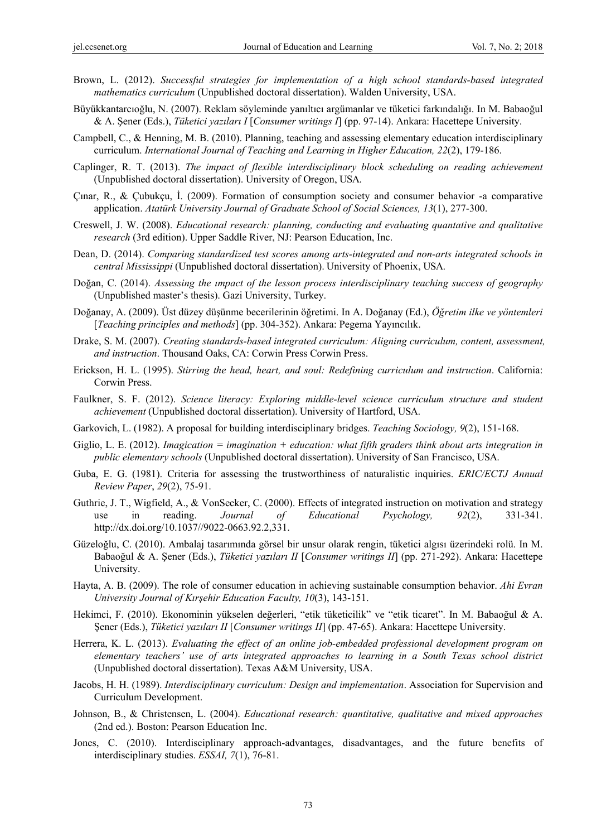- Brown, L. (2012). *Successful strategies for implementation of a high school standards-based integrated mathematics curriculum* (Unpublished doctoral dissertation). Walden University, USA.
- Büyükkantarcıoğlu, N. (2007). Reklam söyleminde yanıltıcı argümanlar ve tüketici farkındalığı. In M. Babaoğul & A. Şener (Eds.), *Tüketici yazıları I* [*Consumer writings I*] (pp. 97-14). Ankara: Hacettepe University.
- Campbell, C., & Henning, M. B. (2010). Planning, teaching and assessing elementary education interdisciplinary curriculum. *International Journal of Teaching and Learning in Higher Education, 22*(2), 179-186.
- Caplinger, R. T. (2013). *The impact of flexible interdisciplinary block scheduling on reading achievement* (Unpublished doctoral dissertation). University of Oregon, USA.
- Çınar, R., & Çubukçu, İ. (2009). Formation of consumption society and consumer behavior -a comparative application. *Atatürk University Journal of Graduate School of Social Sciences, 13*(1), 277-300.
- Creswell, J. W. (2008). *Educational research: planning, conducting and evaluating quantative and qualitative research* (3rd edition). Upper Saddle River, NJ: Pearson Education, Inc.
- Dean, D. (2014). *Comparing standardized test scores among arts-integrated and non-arts integrated schools in central Mississippi* (Unpublished doctoral dissertation). University of Phoenix, USA.
- Doğan, C. (2014). *Assessing the ımpact of the lesson process interdisciplinary teaching success of geography*  (Unpublished master's thesis). Gazi University, Turkey.
- Doğanay, A. (2009). Üst düzey düşünme becerilerinin öğretimi. In A. Doğanay (Ed.), *Öğretim ilke ve yöntemleri* [*Teaching principles and methods*] (pp. 304-352). Ankara: Pegema Yayıncılık.
- Drake, S. M. (2007). *Creating standards-based integrated curriculum: Aligning curriculum, content, assessment, and instruction*. Thousand Oaks, CA: Corwin Press Corwin Press.
- Erickson, H. L. (1995). *Stirring the head, heart, and soul: Redefining curriculum and instruction*. California: Corwin Press.
- Faulkner, S. F. (2012). *Science literacy: Exploring middle-level science curriculum structure and student achievement* (Unpublished doctoral dissertation). University of Hartford, USA.
- Garkovich, L. (1982). A proposal for building interdisciplinary bridges. *Teaching Sociology, 9*(2), 151-168.
- Giglio, L. E. (2012). *Imagication = imagination + education: what fifth graders think about arts integration in public elementary schools* (Unpublished doctoral dissertation). University of San Francisco, USA.
- Guba, E. G. (1981). Criteria for assessing the trustworthiness of naturalistic inquiries. *ERIC/ECTJ Annual Review Paper*, *29*(2), 75-91.
- Guthrie, J. T., Wigfield, A., & VonSecker, C. (2000). Effects of integrated instruction on motivation and strategy use in reading. *Journal of Educational Psychology, 92*(2), 331-341. http://dx.doi.org/10.1037//9022-0663.92.2,331.
- Güzeloğlu, C. (2010). Ambalaj tasarımında görsel bir unsur olarak rengin, tüketici algısı üzerindeki rolü. In M. Babaoğul & A. Şener (Eds.), *Tüketici yazıları II* [*Consumer writings II*] (pp. 271-292). Ankara: Hacettepe University.
- Hayta, A. B. (2009). The role of consumer education in achieving sustainable consumption behavior. *Ahi Evran University Journal of Kırşehir Education Faculty, 10*(3), 143-151.
- Hekimci, F. (2010). Ekonominin yükselen değerleri, "etik tüketicilik" ve "etik ticaret". In M. Babaoğul & A. Şener (Eds.), *Tüketici yazıları II* [*Consumer writings II*] (pp. 47-65). Ankara: Hacettepe University.
- Herrera, K. L. (2013). *Evaluating the effect of an online job-embedded professional development program on elementary teachers' use of arts integrated approaches to learning in a South Texas school district* (Unpublished doctoral dissertation). Texas A&M University, USA.
- Jacobs, H. H. (1989). *Interdisciplinary curriculum: Design and implementation*. Association for Supervision and Curriculum Development.
- Johnson, B., & Christensen, L. (2004). *Educational research: quantitative, qualitative and mixed approaches*  (2nd ed.). Boston: Pearson Education Inc.
- Jones, C. (2010). Interdisciplinary approach-advantages, disadvantages, and the future benefits of interdisciplinary studies. *ESSAI, 7*(1), 76-81.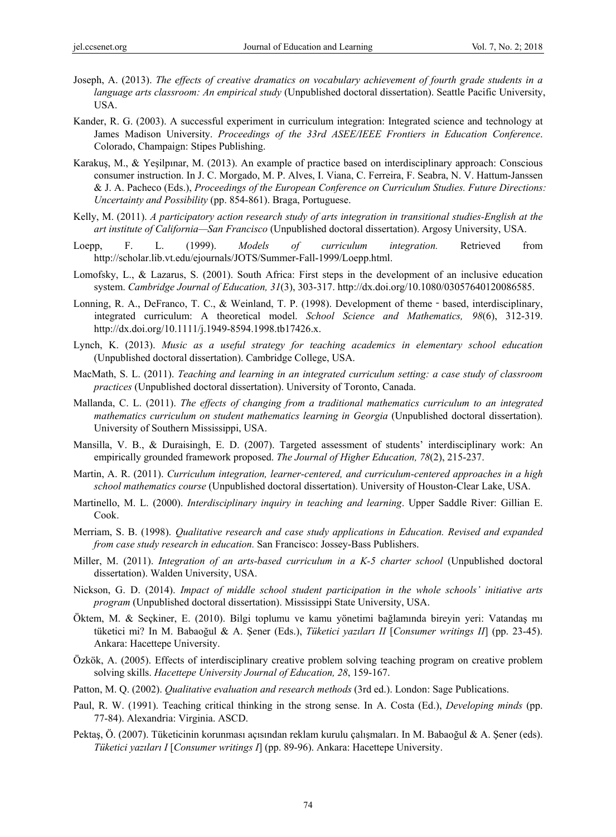- Joseph, A. (2013). *The effects of creative dramatics on vocabulary achievement of fourth grade students in a language arts classroom: An empirical study* (Unpublished doctoral dissertation). Seattle Pacific University, USA.
- Kander, R. G. (2003). A successful experiment in curriculum integration: Integrated science and technology at James Madison University. *Proceedings of the 33rd ASEE/IEEE Frontiers in Education Conference*. Colorado, Champaign: Stipes Publishing.
- Karakuş, M., & Yeşilpınar, M. (2013). An example of practice based on interdisciplinary approach: Conscious consumer instruction. In J. C. Morgado, M. P. Alves, I. Viana, C. Ferreira, F. Seabra, N. V. Hattum-Janssen & J. A. Pacheco (Eds.), *Proceedings of the European Conference on Curriculum Studies. Future Directions: Uncertainty and Possibility* (pp. 854-861). Braga, Portuguese.
- Kelly, M. (2011). *A participatory action research study of arts integration in transitional studies-English at the art institute of California—San Francisco* (Unpublished doctoral dissertation). Argosy University, USA.
- Loepp, F. L. (1999). *Models of curriculum integration.* Retrieved from http://scholar.lib.vt.edu/ejournals/JOTS/Summer-Fall-1999/Loepp.html.
- Lomofsky, L., & Lazarus, S. (2001). South Africa: First steps in the development of an inclusive education system. *Cambridge Journal of Education, 31*(3), 303-317. http://dx.doi.org/10.1080/03057640120086585.
- Lonning, R. A., DeFranco, T. C., & Weinland, T. P. (1998). Development of theme based, interdisciplinary, integrated curriculum: A theoretical model. *School Science and Mathematics, 98*(6), 312-319. http://dx.doi.org/10.1111/j.1949-8594.1998.tb17426.x.
- Lynch, K. (2013). *Music as a useful strategy for teaching academics in elementary school education*  (Unpublished doctoral dissertation). Cambridge College, USA.
- MacMath, S. L. (2011). *Teaching and learning in an integrated curriculum setting: a case study of classroom practices* (Unpublished doctoral dissertation). University of Toronto, Canada.
- Mallanda, C. L. (2011). *The effects of changing from a traditional mathematics curriculum to an integrated mathematics curriculum on student mathematics learning in Georgia* (Unpublished doctoral dissertation). University of Southern Mississippi, USA.
- Mansilla, V. B., & Duraisingh, E. D. (2007). Targeted assessment of students' interdisciplinary work: An empirically grounded framework proposed. *The Journal of Higher Education, 78*(2), 215-237.
- Martin, A. R. (2011). *Curriculum integration, learner-centered, and curriculum-centered approaches in a high school mathematics course* (Unpublished doctoral dissertation). University of Houston-Clear Lake, USA.
- Martinello, M. L. (2000). *Interdisciplinary inquiry in teaching and learning*. Upper Saddle River: Gillian E. Cook.
- Merriam, S. B. (1998). *Qualitative research and case study applications in Education. Revised and expanded from case study research in education.* San Francisco: Jossey-Bass Publishers.
- Miller, M. (2011). *Integration of an arts-based curriculum in a K-5 charter school* (Unpublished doctoral dissertation). Walden University, USA.
- Nickson, G. D. (2014). *Impact of middle school student participation in the whole schools' initiative arts program* (Unpublished doctoral dissertation). Mississippi State University, USA.
- Öktem, M. & Seçkiner, E. (2010). Bilgi toplumu ve kamu yönetimi bağlamında bireyin yeri: Vatandaş mı tüketici mi? In M. Babaoğul & A. Şener (Eds.), *Tüketici yazıları II* [*Consumer writings II*] (pp. 23-45). Ankara: Hacettepe University.
- Özkök, A. (2005). Effects of interdisciplinary creative problem solving teaching program on creative problem solving skills. *Hacettepe University Journal of Education, 28*, 159-167.
- Patton, M. Q. (2002). *Qualitative evaluation and research methods* (3rd ed.). London: Sage Publications.
- Paul, R. W. (1991). Teaching critical thinking in the strong sense. In A. Costa (Ed.), *Developing minds* (pp. 77-84). Alexandria: Virginia. ASCD.
- Pektaş, Ö. (2007). Tüketicinin korunması açısından reklam kurulu çalışmaları. In M. Babaoğul & A. Şener (eds). *Tüketici yazıları I* [*Consumer writings I*] (pp. 89-96). Ankara: Hacettepe University.